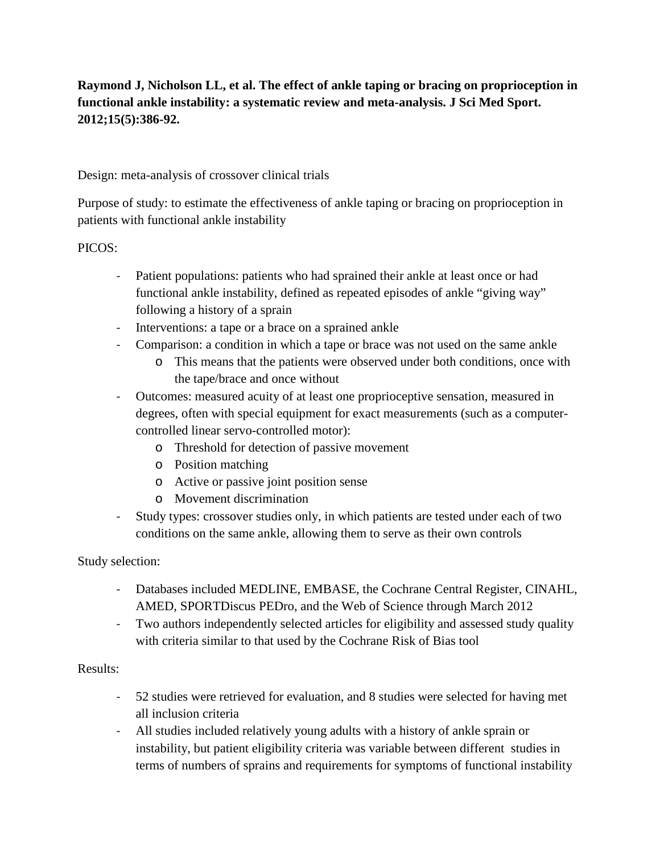# **Raymond J, Nicholson LL, et al. The effect of ankle taping or bracing on proprioception in functional ankle instability: a systematic review and meta-analysis. J Sci Med Sport. 2012;15(5):386-92.**

Design: meta-analysis of crossover clinical trials

Purpose of study: to estimate the effectiveness of ankle taping or bracing on proprioception in patients with functional ankle instability

## PICOS:

- Patient populations: patients who had sprained their ankle at least once or had functional ankle instability, defined as repeated episodes of ankle "giving way" following a history of a sprain
- Interventions: a tape or a brace on a sprained ankle
- Comparison: a condition in which a tape or brace was not used on the same ankle
	- o This means that the patients were observed under both conditions, once with the tape/brace and once without
- Outcomes: measured acuity of at least one proprioceptive sensation, measured in degrees, often with special equipment for exact measurements (such as a computercontrolled linear servo-controlled motor):
	- o Threshold for detection of passive movement
	- o Position matching
	- o Active or passive joint position sense
	- o Movement discrimination
- Study types: crossover studies only, in which patients are tested under each of two conditions on the same ankle, allowing them to serve as their own controls

### Study selection:

- Databases included MEDLINE, EMBASE, the Cochrane Central Register, CINAHL, AMED, SPORTDiscus PEDro, and the Web of Science through March 2012
- Two authors independently selected articles for eligibility and assessed study quality with criteria similar to that used by the Cochrane Risk of Bias tool

### Results:

- 52 studies were retrieved for evaluation, and 8 studies were selected for having met all inclusion criteria
- All studies included relatively young adults with a history of ankle sprain or instability, but patient eligibility criteria was variable between different studies in terms of numbers of sprains and requirements for symptoms of functional instability